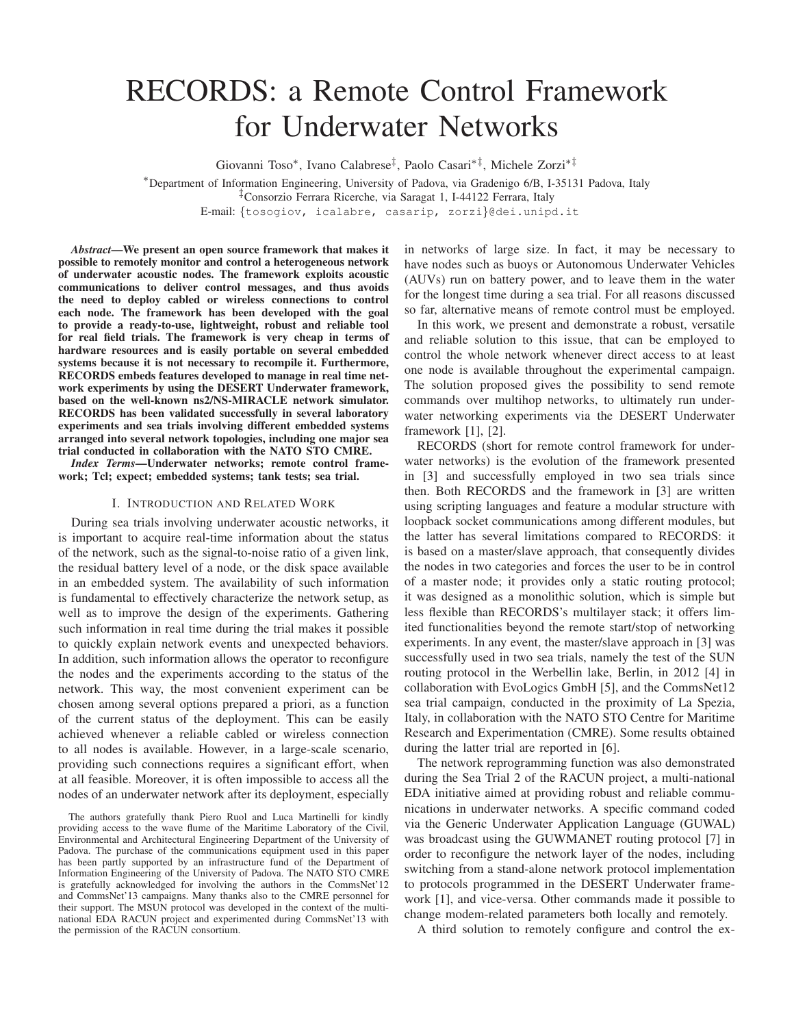# RECORDS: a Remote Control Framework for Underwater Networks

Giovanni Toso<sup>∗</sup> , Ivano Calabrese‡ , Paolo Casari∗‡, Michele Zorzi∗‡

<sup>∗</sup>Department of Information Engineering, University of Padova, via Gradenigo 6/B, I-35131 Padova, Italy ‡Consorzio Ferrara Ricerche, via Saragat 1, I-44122 Ferrara, Italy E-mail: {tosogiov, icalabre, casarip, zorzi}@dei.unipd.it

*Abstract*—We present an open source framework that makes it possible to remotely monitor and control a heterogeneous network of underwater acoustic nodes. The framework exploits acoustic communications to deliver control messages, and thus avoids the need to deploy cabled or wireless connections to control each node. The framework has been developed with the goal to provide a ready-to-use, lightweight, robust and reliable tool for real field trials. The framework is very cheap in terms of hardware resources and is easily portable on several embedded systems because it is not necessary to recompile it. Furthermore, RECORDS embeds features developed to manage in real time network experiments by using the DESERT Underwater framework, based on the well-known ns2/NS-MIRACLE network simulator. RECORDS has been validated successfully in several laboratory experiments and sea trials involving different embedded systems arranged into several network topologies, including one major sea trial conducted in collaboration with the NATO STO CMRE.

*Index Terms*—Underwater networks; remote control framework; Tcl; expect; embedded systems; tank tests; sea trial.

### I. INTRODUCTION AND RELATED WORK

During sea trials involving underwater acoustic networks, it is important to acquire real-time information about the status of the network, such as the signal-to-noise ratio of a given link, the residual battery level of a node, or the disk space available in an embedded system. The availability of such information is fundamental to effectively characterize the network setup, as well as to improve the design of the experiments. Gathering such information in real time during the trial makes it possible to quickly explain network events and unexpected behaviors. In addition, such information allows the operator to reconfigure the nodes and the experiments according to the status of the network. This way, the most convenient experiment can be chosen among several options prepared a priori, as a function of the current status of the deployment. This can be easily achieved whenever a reliable cabled or wireless connection to all nodes is available. However, in a large-scale scenario, providing such connections requires a significant effort, when at all feasible. Moreover, it is often impossible to access all the nodes of an underwater network after its deployment, especially

in networks of large size. In fact, it may be necessary to have nodes such as buoys or Autonomous Underwater Vehicles (AUVs) run on battery power, and to leave them in the water for the longest time during a sea trial. For all reasons discussed so far, alternative means of remote control must be employed.

In this work, we present and demonstrate a robust, versatile and reliable solution to this issue, that can be employed to control the whole network whenever direct access to at least one node is available throughout the experimental campaign. The solution proposed gives the possibility to send remote commands over multihop networks, to ultimately run underwater networking experiments via the DESERT Underwater framework [1], [2].

RECORDS (short for remote control framework for underwater networks) is the evolution of the framework presented in [3] and successfully employed in two sea trials since then. Both RECORDS and the framework in [3] are written using scripting languages and feature a modular structure with loopback socket communications among different modules, but the latter has several limitations compared to RECORDS: it is based on a master/slave approach, that consequently divides the nodes in two categories and forces the user to be in control of a master node; it provides only a static routing protocol; it was designed as a monolithic solution, which is simple but less flexible than RECORDS's multilayer stack; it offers limited functionalities beyond the remote start/stop of networking experiments. In any event, the master/slave approach in [3] was successfully used in two sea trials, namely the test of the SUN routing protocol in the Werbellin lake, Berlin, in 2012 [4] in collaboration with EvoLogics GmbH [5], and the CommsNet12 sea trial campaign, conducted in the proximity of La Spezia, Italy, in collaboration with the NATO STO Centre for Maritime Research and Experimentation (CMRE). Some results obtained during the latter trial are reported in [6].

The network reprogramming function was also demonstrated during the Sea Trial 2 of the RACUN project, a multi-national EDA initiative aimed at providing robust and reliable communications in underwater networks. A specific command coded via the Generic Underwater Application Language (GUWAL) was broadcast using the GUWMANET routing protocol [7] in order to reconfigure the network layer of the nodes, including switching from a stand-alone network protocol implementation to protocols programmed in the DESERT Underwater framework [1], and vice-versa. Other commands made it possible to change modem-related parameters both locally and remotely.

A third solution to remotely configure and control the ex-

The authors gratefully thank Piero Ruol and Luca Martinelli for kindly providing access to the wave flume of the Maritime Laboratory of the Civil, Environmental and Architectural Engineering Department of the University of Padova. The purchase of the communications equipment used in this paper has been partly supported by an infrastructure fund of the Department of Information Engineering of the University of Padova. The NATO STO CMRE is gratefully acknowledged for involving the authors in the CommsNet'12 and CommsNet'13 campaigns. Many thanks also to the CMRE personnel for their support. The MSUN protocol was developed in the context of the multinational EDA RACUN project and experimented during CommsNet'13 with the permission of the RACUN consortium.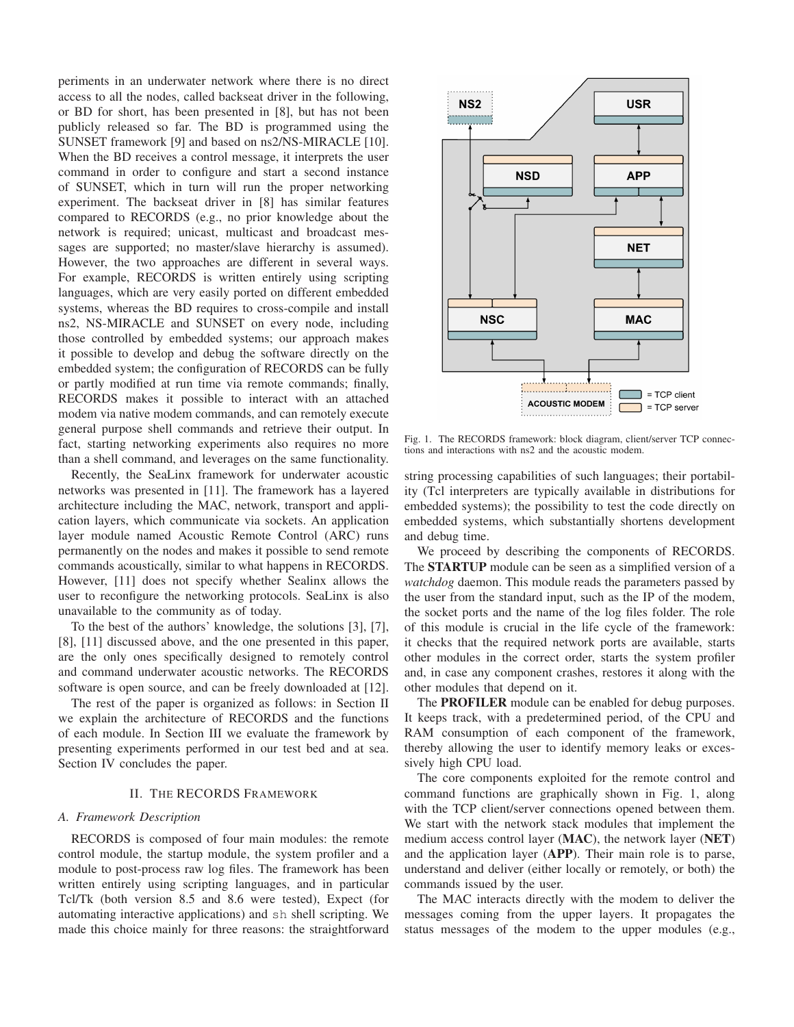periments in an underwater network where there is no direct access to all the nodes, called backseat driver in the following, or BD for short, has been presented in [8], but has not been publicly released so far. The BD is programmed using the SUNSET framework [9] and based on ns2/NS-MIRACLE [10]. When the BD receives a control message, it interprets the user command in order to configure and start a second instance of SUNSET, which in turn will run the proper networking experiment. The backseat driver in [8] has similar features compared to RECORDS (e.g., no prior knowledge about the network is required; unicast, multicast and broadcast messages are supported; no master/slave hierarchy is assumed). However, the two approaches are different in several ways. For example, RECORDS is written entirely using scripting languages, which are very easily ported on different embedded systems, whereas the BD requires to cross-compile and install ns2, NS-MIRACLE and SUNSET on every node, including those controlled by embedded systems; our approach makes it possible to develop and debug the software directly on the embedded system; the configuration of RECORDS can be fully or partly modified at run time via remote commands; finally, RECORDS makes it possible to interact with an attached modem via native modem commands, and can remotely execute general purpose shell commands and retrieve their output. In fact, starting networking experiments also requires no more than a shell command, and leverages on the same functionality.

Recently, the SeaLinx framework for underwater acoustic networks was presented in [11]. The framework has a layered architecture including the MAC, network, transport and application layers, which communicate via sockets. An application layer module named Acoustic Remote Control (ARC) runs permanently on the nodes and makes it possible to send remote commands acoustically, similar to what happens in RECORDS. However, [11] does not specify whether Sealinx allows the user to reconfigure the networking protocols. SeaLinx is also unavailable to the community as of today.

To the best of the authors' knowledge, the solutions [3], [7], [8], [11] discussed above, and the one presented in this paper, are the only ones specifically designed to remotely control and command underwater acoustic networks. The RECORDS software is open source, and can be freely downloaded at [12].

The rest of the paper is organized as follows: in Section II we explain the architecture of RECORDS and the functions of each module. In Section III we evaluate the framework by presenting experiments performed in our test bed and at sea. Section IV concludes the paper.

### II. THE RECORDS FRAMEWORK

#### *A. Framework Description*

RECORDS is composed of four main modules: the remote control module, the startup module, the system profiler and a module to post-process raw log files. The framework has been written entirely using scripting languages, and in particular Tcl/Tk (both version 8.5 and 8.6 were tested), Expect (for automating interactive applications) and sh shell scripting. We made this choice mainly for three reasons: the straightforward



Fig. 1. The RECORDS framework: block diagram, client/server TCP connections and interactions with ns2 and the acoustic modem.

string processing capabilities of such languages; their portability (Tcl interpreters are typically available in distributions for embedded systems); the possibility to test the code directly on embedded systems, which substantially shortens development and debug time.

We proceed by describing the components of RECORDS. The STARTUP module can be seen as a simplified version of a *watchdog* daemon. This module reads the parameters passed by the user from the standard input, such as the IP of the modem, the socket ports and the name of the log files folder. The role of this module is crucial in the life cycle of the framework: it checks that the required network ports are available, starts other modules in the correct order, starts the system profiler and, in case any component crashes, restores it along with the other modules that depend on it.

The PROFILER module can be enabled for debug purposes. It keeps track, with a predetermined period, of the CPU and RAM consumption of each component of the framework, thereby allowing the user to identify memory leaks or excessively high CPU load.

The core components exploited for the remote control and command functions are graphically shown in Fig. 1, along with the TCP client/server connections opened between them. We start with the network stack modules that implement the medium access control layer (MAC), the network layer (NET) and the application layer (APP). Their main role is to parse, understand and deliver (either locally or remotely, or both) the commands issued by the user.

The MAC interacts directly with the modem to deliver the messages coming from the upper layers. It propagates the status messages of the modem to the upper modules (e.g.,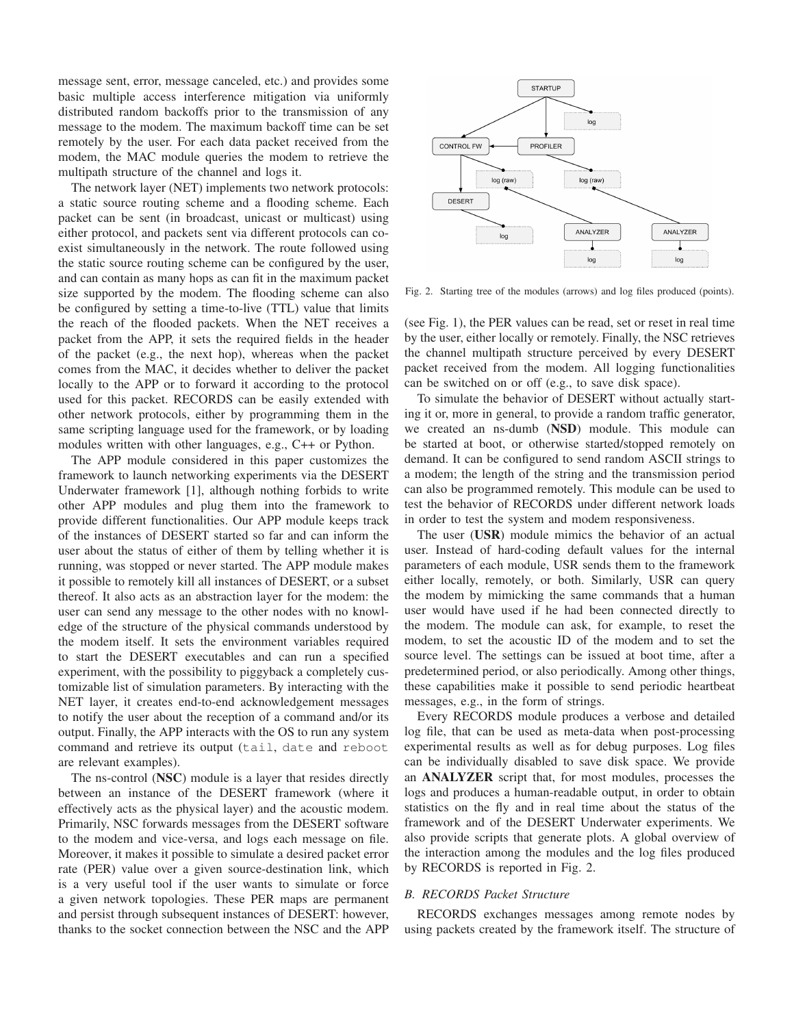message sent, error, message canceled, etc.) and provides some basic multiple access interference mitigation via uniformly distributed random backoffs prior to the transmission of any message to the modem. The maximum backoff time can be set remotely by the user. For each data packet received from the modem, the MAC module queries the modem to retrieve the multipath structure of the channel and logs it.

The network layer (NET) implements two network protocols: a static source routing scheme and a flooding scheme. Each packet can be sent (in broadcast, unicast or multicast) using either protocol, and packets sent via different protocols can coexist simultaneously in the network. The route followed using the static source routing scheme can be configured by the user, and can contain as many hops as can fit in the maximum packet size supported by the modem. The flooding scheme can also be configured by setting a time-to-live (TTL) value that limits the reach of the flooded packets. When the NET receives a packet from the APP, it sets the required fields in the header of the packet (e.g., the next hop), whereas when the packet comes from the MAC, it decides whether to deliver the packet locally to the APP or to forward it according to the protocol used for this packet. RECORDS can be easily extended with other network protocols, either by programming them in the same scripting language used for the framework, or by loading modules written with other languages, e.g., C++ or Python.

The APP module considered in this paper customizes the framework to launch networking experiments via the DESERT Underwater framework [1], although nothing forbids to write other APP modules and plug them into the framework to provide different functionalities. Our APP module keeps track of the instances of DESERT started so far and can inform the user about the status of either of them by telling whether it is running, was stopped or never started. The APP module makes it possible to remotely kill all instances of DESERT, or a subset thereof. It also acts as an abstraction layer for the modem: the user can send any message to the other nodes with no knowledge of the structure of the physical commands understood by the modem itself. It sets the environment variables required to start the DESERT executables and can run a specified experiment, with the possibility to piggyback a completely customizable list of simulation parameters. By interacting with the NET layer, it creates end-to-end acknowledgement messages to notify the user about the reception of a command and/or its output. Finally, the APP interacts with the OS to run any system command and retrieve its output (tail, date and reboot are relevant examples).

The ns-control (NSC) module is a layer that resides directly between an instance of the DESERT framework (where it effectively acts as the physical layer) and the acoustic modem. Primarily, NSC forwards messages from the DESERT software to the modem and vice-versa, and logs each message on file. Moreover, it makes it possible to simulate a desired packet error rate (PER) value over a given source-destination link, which is a very useful tool if the user wants to simulate or force a given network topologies. These PER maps are permanent and persist through subsequent instances of DESERT: however, thanks to the socket connection between the NSC and the APP



Fig. 2. Starting tree of the modules (arrows) and log files produced (points).

(see Fig. 1), the PER values can be read, set or reset in real time by the user, either locally or remotely. Finally, the NSC retrieves the channel multipath structure perceived by every DESERT packet received from the modem. All logging functionalities can be switched on or off (e.g., to save disk space).

To simulate the behavior of DESERT without actually starting it or, more in general, to provide a random traffic generator, we created an ns-dumb (NSD) module. This module can be started at boot, or otherwise started/stopped remotely on demand. It can be configured to send random ASCII strings to a modem; the length of the string and the transmission period can also be programmed remotely. This module can be used to test the behavior of RECORDS under different network loads in order to test the system and modem responsiveness.

The user (USR) module mimics the behavior of an actual user. Instead of hard-coding default values for the internal parameters of each module, USR sends them to the framework either locally, remotely, or both. Similarly, USR can query the modem by mimicking the same commands that a human user would have used if he had been connected directly to the modem. The module can ask, for example, to reset the modem, to set the acoustic ID of the modem and to set the source level. The settings can be issued at boot time, after a predetermined period, or also periodically. Among other things, these capabilities make it possible to send periodic heartbeat messages, e.g., in the form of strings.

Every RECORDS module produces a verbose and detailed log file, that can be used as meta-data when post-processing experimental results as well as for debug purposes. Log files can be individually disabled to save disk space. We provide an ANALYZER script that, for most modules, processes the logs and produces a human-readable output, in order to obtain statistics on the fly and in real time about the status of the framework and of the DESERT Underwater experiments. We also provide scripts that generate plots. A global overview of the interaction among the modules and the log files produced by RECORDS is reported in Fig. 2.

## *B. RECORDS Packet Structure*

RECORDS exchanges messages among remote nodes by using packets created by the framework itself. The structure of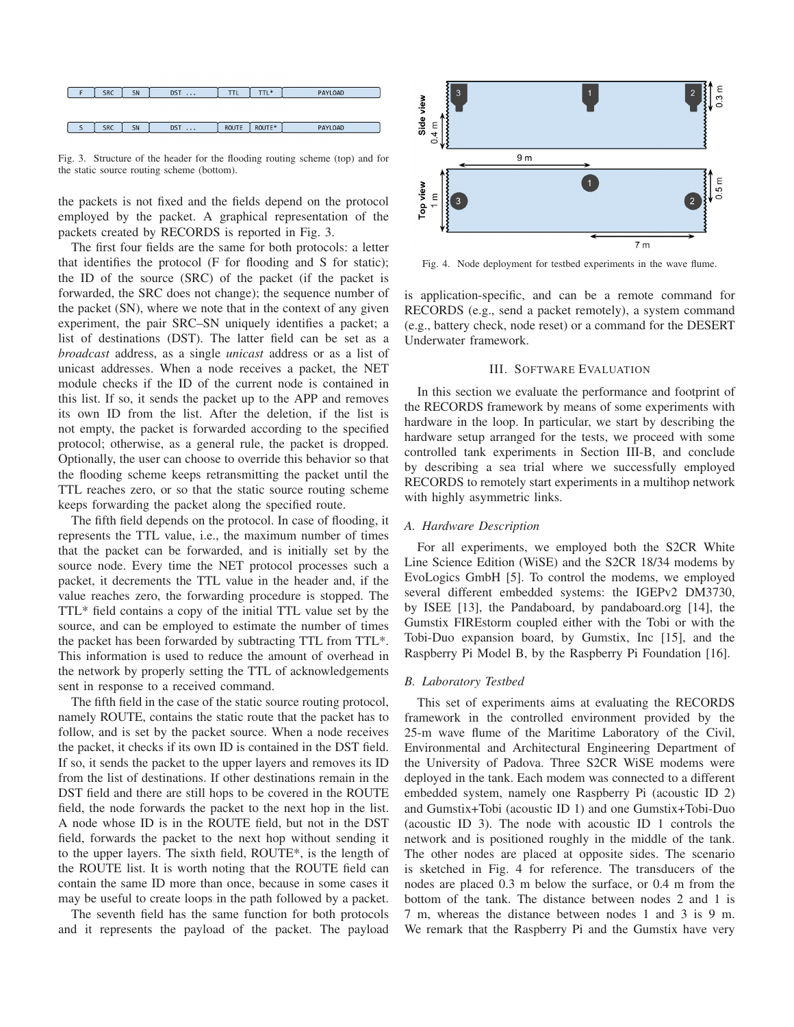

Fig. 3. Structure of the header for the flooding routing scheme (top) and for the static source routing scheme (bottom).

the packets is not fixed and the fields depend on the protocol employed by the packet. A graphical representation of the packets created by RECORDS is reported in Fig. 3.

The first four fields are the same for both protocols: a letter that identifies the protocol (F for flooding and S for static); the ID of the source (SRC) of the packet (if the packet is forwarded, the SRC does not change); the sequence number of the packet (SN), where we note that in the context of any given experiment, the pair SRC–SN uniquely identifies a packet; a list of destinations (DST). The latter field can be set as a *broadcast* address, as a single *unicast* address or as a list of unicast addresses. When a node receives a packet, the NET module checks if the ID of the current node is contained in this list. If so, it sends the packet up to the APP and removes its own ID from the list. After the deletion, if the list is not empty, the packet is forwarded according to the specified protocol; otherwise, as a general rule, the packet is dropped. Optionally, the user can choose to override this behavior so that the flooding scheme keeps retransmitting the packet until the TTL reaches zero, or so that the static source routing scheme keeps forwarding the packet along the specified route.

The fifth field depends on the protocol. In case of flooding, it represents the TTL value, i.e., the maximum number of times that the packet can be forwarded, and is initially set by the source node. Every time the NET protocol processes such a packet, it decrements the TTL value in the header and, if the value reaches zero, the forwarding procedure is stopped. The TTL\* field contains a copy of the initial TTL value set by the source, and can be employed to estimate the number of times the packet has been forwarded by subtracting TTL from TTL\*. This information is used to reduce the amount of overhead in the network by properly setting the TTL of acknowledgements sent in response to a received command.

The fifth field in the case of the static source routing protocol, namely ROUTE, contains the static route that the packet has to follow, and is set by the packet source. When a node receives the packet, it checks if its own ID is contained in the DST field. If so, it sends the packet to the upper layers and removes its ID from the list of destinations. If other destinations remain in the DST field and there are still hops to be covered in the ROUTE field, the node forwards the packet to the next hop in the list. A node whose ID is in the ROUTE field, but not in the DST field, forwards the packet to the next hop without sending it to the upper layers. The sixth field, ROUTE\*, is the length of the ROUTE list. It is worth noting that the ROUTE field can contain the same ID more than once, because in some cases it may be useful to create loops in the path followed by a packet.

The seventh field has the same function for both protocols and it represents the payload of the packet. The payload



Fig. 4. Node deployment for testbed experiments in the wave flume.

is application-specific, and can be a remote command for RECORDS (e.g., send a packet remotely), a system command (e.g., battery check, node reset) or a command for the DESERT Underwater framework.

## III. SOFTWARE EVALUATION

In this section we evaluate the performance and footprint of the RECORDS framework by means of some experiments with hardware in the loop. In particular, we start by describing the hardware setup arranged for the tests, we proceed with some controlled tank experiments in Section III-B, and conclude by describing a sea trial where we successfully employed RECORDS to remotely start experiments in a multihop network with highly asymmetric links.

#### *A. Hardware Description*

For all experiments, we employed both the S2CR White Line Science Edition (WiSE) and the S2CR 18/34 modems by EvoLogics GmbH [5]. To control the modems, we employed several different embedded systems: the IGEPv2 DM3730, by ISEE [13], the Pandaboard, by pandaboard.org [14], the Gumstix FIREstorm coupled either with the Tobi or with the Tobi-Duo expansion board, by Gumstix, Inc [15], and the Raspberry Pi Model B, by the Raspberry Pi Foundation [16].

### *B. Laboratory Testbed*

This set of experiments aims at evaluating the RECORDS framework in the controlled environment provided by the 25-m wave flume of the Maritime Laboratory of the Civil, Environmental and Architectural Engineering Department of the University of Padova. Three S2CR WiSE modems were deployed in the tank. Each modem was connected to a different embedded system, namely one Raspberry Pi (acoustic ID 2) and Gumstix+Tobi (acoustic ID 1) and one Gumstix+Tobi-Duo (acoustic ID 3). The node with acoustic ID 1 controls the network and is positioned roughly in the middle of the tank. The other nodes are placed at opposite sides. The scenario is sketched in Fig. 4 for reference. The transducers of the nodes are placed 0.3 m below the surface, or 0.4 m from the bottom of the tank. The distance between nodes 2 and 1 is 7 m, whereas the distance between nodes 1 and 3 is 9 m. We remark that the Raspberry Pi and the Gumstix have very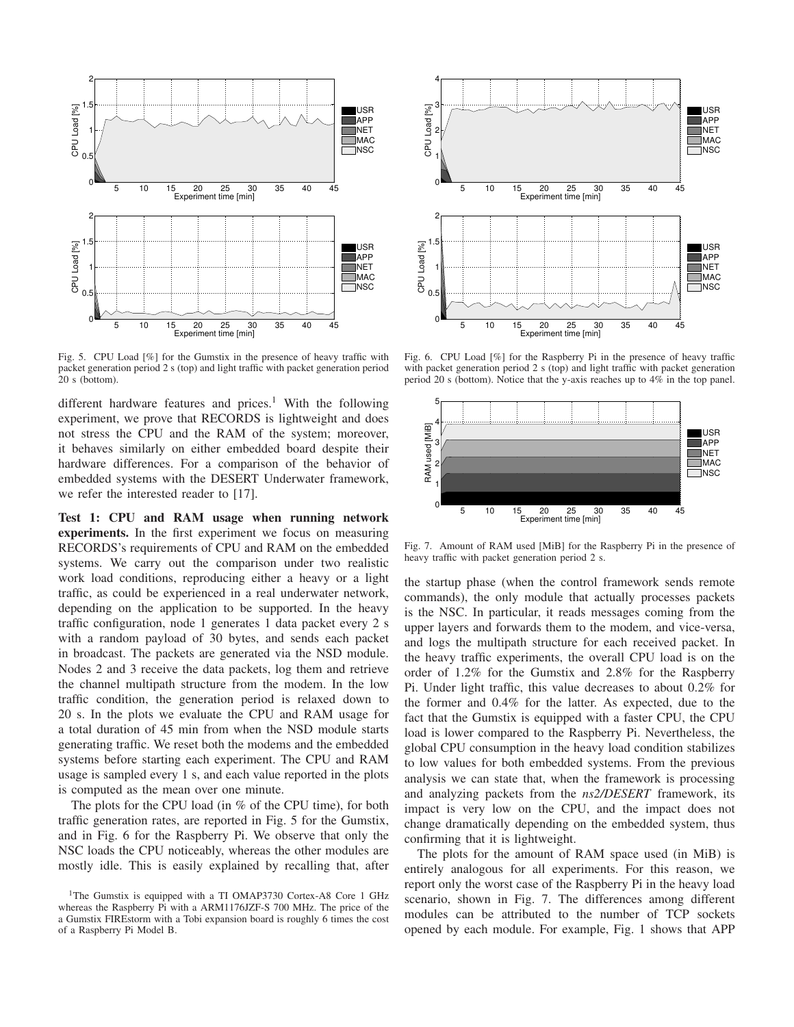

Fig. 5. CPU Load [%] for the Gumstix in the presence of heavy traffic with packet generation period 2 s (top) and light traffic with packet generation period 20 s (bottom).

different hardware features and prices.<sup>1</sup> With the following experiment, we prove that RECORDS is lightweight and does not stress the CPU and the RAM of the system; moreover, it behaves similarly on either embedded board despite their hardware differences. For a comparison of the behavior of embedded systems with the DESERT Underwater framework, we refer the interested reader to [17].

Test 1: CPU and RAM usage when running network experiments. In the first experiment we focus on measuring RECORDS's requirements of CPU and RAM on the embedded systems. We carry out the comparison under two realistic work load conditions, reproducing either a heavy or a light traffic, as could be experienced in a real underwater network, depending on the application to be supported. In the heavy traffic configuration, node 1 generates 1 data packet every 2 s with a random payload of 30 bytes, and sends each packet in broadcast. The packets are generated via the NSD module. Nodes 2 and 3 receive the data packets, log them and retrieve the channel multipath structure from the modem. In the low traffic condition, the generation period is relaxed down to 20 s. In the plots we evaluate the CPU and RAM usage for a total duration of 45 min from when the NSD module starts generating traffic. We reset both the modems and the embedded systems before starting each experiment. The CPU and RAM usage is sampled every 1 s, and each value reported in the plots is computed as the mean over one minute.

The plots for the CPU load (in % of the CPU time), for both traffic generation rates, are reported in Fig. 5 for the Gumstix, and in Fig. 6 for the Raspberry Pi. We observe that only the NSC loads the CPU noticeably, whereas the other modules are mostly idle. This is easily explained by recalling that, after



Fig. 6. CPU Load [%] for the Raspberry Pi in the presence of heavy traffic with packet generation period 2 s (top) and light traffic with packet generation period 20 s (bottom). Notice that the y-axis reaches up to 4% in the top panel.



Fig. 7. Amount of RAM used [MiB] for the Raspberry Pi in the presence of heavy traffic with packet generation period 2 s.

the startup phase (when the control framework sends remote commands), the only module that actually processes packets is the NSC. In particular, it reads messages coming from the upper layers and forwards them to the modem, and vice-versa, and logs the multipath structure for each received packet. In the heavy traffic experiments, the overall CPU load is on the order of 1.2% for the Gumstix and 2.8% for the Raspberry Pi. Under light traffic, this value decreases to about 0.2% for the former and 0.4% for the latter. As expected, due to the fact that the Gumstix is equipped with a faster CPU, the CPU load is lower compared to the Raspberry Pi. Nevertheless, the global CPU consumption in the heavy load condition stabilizes to low values for both embedded systems. From the previous analysis we can state that, when the framework is processing and analyzing packets from the *ns2/DESERT* framework, its impact is very low on the CPU, and the impact does not change dramatically depending on the embedded system, thus confirming that it is lightweight.

The plots for the amount of RAM space used (in MiB) is entirely analogous for all experiments. For this reason, we report only the worst case of the Raspberry Pi in the heavy load scenario, shown in Fig. 7. The differences among different modules can be attributed to the number of TCP sockets opened by each module. For example, Fig. 1 shows that APP

<sup>&</sup>lt;sup>1</sup>The Gumstix is equipped with a TI OMAP3730 Cortex-A8 Core 1 GHz whereas the Raspberry Pi with a ARM1176JZF-S 700 MHz. The price of the a Gumstix FIREstorm with a Tobi expansion board is roughly 6 times the cost of a Raspberry Pi Model B.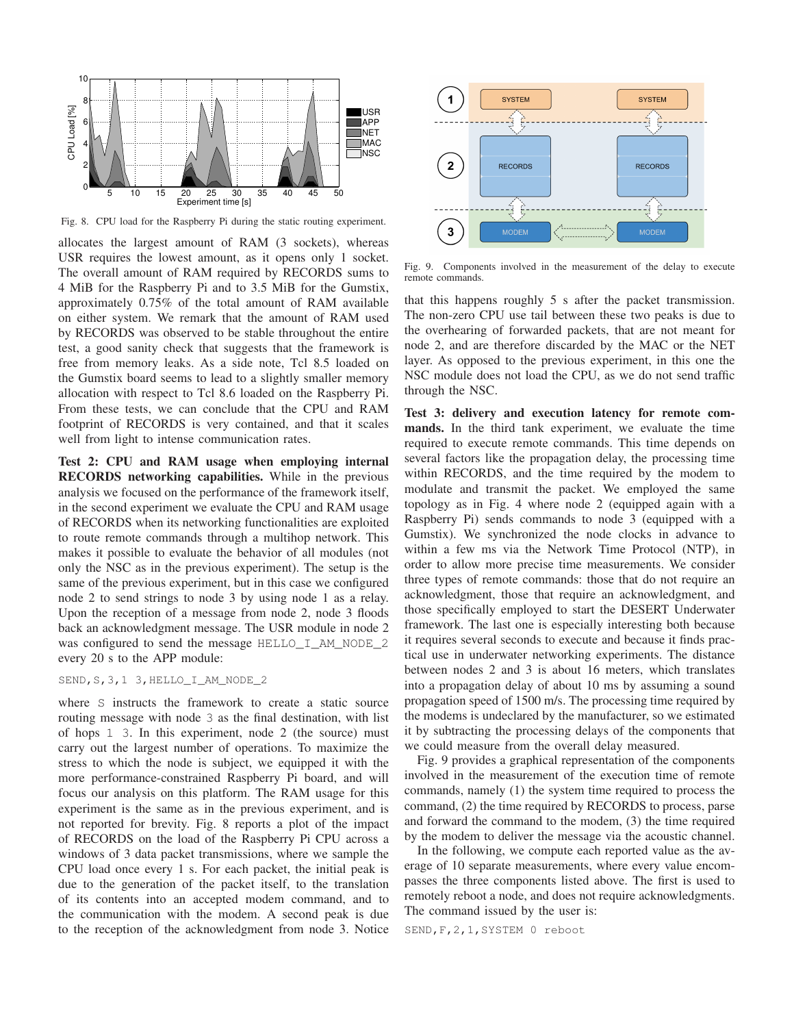

Fig. 8. CPU load for the Raspberry Pi during the static routing experiment.

allocates the largest amount of RAM (3 sockets), whereas USR requires the lowest amount, as it opens only 1 socket. The overall amount of RAM required by RECORDS sums to 4 MiB for the Raspberry Pi and to 3.5 MiB for the Gumstix, approximately 0.75% of the total amount of RAM available on either system. We remark that the amount of RAM used by RECORDS was observed to be stable throughout the entire test, a good sanity check that suggests that the framework is free from memory leaks. As a side note, Tcl 8.5 loaded on the Gumstix board seems to lead to a slightly smaller memory allocation with respect to Tcl 8.6 loaded on the Raspberry Pi. From these tests, we can conclude that the CPU and RAM footprint of RECORDS is very contained, and that it scales well from light to intense communication rates.

Test 2: CPU and RAM usage when employing internal RECORDS networking capabilities. While in the previous analysis we focused on the performance of the framework itself, in the second experiment we evaluate the CPU and RAM usage of RECORDS when its networking functionalities are exploited to route remote commands through a multihop network. This makes it possible to evaluate the behavior of all modules (not only the NSC as in the previous experiment). The setup is the same of the previous experiment, but in this case we configured node 2 to send strings to node 3 by using node 1 as a relay. Upon the reception of a message from node 2, node 3 floods back an acknowledgment message. The USR module in node 2 was configured to send the message HELLO I AM NODE 2 every 20 s to the APP module:

SEND,S,3,1 3,HELLO\_I\_AM\_NODE\_2

where S instructs the framework to create a static source routing message with node 3 as the final destination, with list of hops 1 3. In this experiment, node 2 (the source) must carry out the largest number of operations. To maximize the stress to which the node is subject, we equipped it with the more performance-constrained Raspberry Pi board, and will focus our analysis on this platform. The RAM usage for this experiment is the same as in the previous experiment, and is not reported for brevity. Fig. 8 reports a plot of the impact of RECORDS on the load of the Raspberry Pi CPU across a windows of 3 data packet transmissions, where we sample the CPU load once every 1 s. For each packet, the initial peak is due to the generation of the packet itself, to the translation of its contents into an accepted modem command, and to the communication with the modem. A second peak is due to the reception of the acknowledgment from node 3. Notice



Fig. 9. Components involved in the measurement of the delay to execute remote commands.

that this happens roughly 5 s after the packet transmission. The non-zero CPU use tail between these two peaks is due to the overhearing of forwarded packets, that are not meant for node 2, and are therefore discarded by the MAC or the NET layer. As opposed to the previous experiment, in this one the NSC module does not load the CPU, as we do not send traffic through the NSC.

Test 3: delivery and execution latency for remote commands. In the third tank experiment, we evaluate the time required to execute remote commands. This time depends on several factors like the propagation delay, the processing time within RECORDS, and the time required by the modem to modulate and transmit the packet. We employed the same topology as in Fig. 4 where node 2 (equipped again with a Raspberry Pi) sends commands to node 3 (equipped with a Gumstix). We synchronized the node clocks in advance to within a few ms via the Network Time Protocol (NTP), in order to allow more precise time measurements. We consider three types of remote commands: those that do not require an acknowledgment, those that require an acknowledgment, and those specifically employed to start the DESERT Underwater framework. The last one is especially interesting both because it requires several seconds to execute and because it finds practical use in underwater networking experiments. The distance between nodes 2 and 3 is about 16 meters, which translates into a propagation delay of about 10 ms by assuming a sound propagation speed of 1500 m/s. The processing time required by the modems is undeclared by the manufacturer, so we estimated it by subtracting the processing delays of the components that we could measure from the overall delay measured.

Fig. 9 provides a graphical representation of the components involved in the measurement of the execution time of remote commands, namely (1) the system time required to process the command, (2) the time required by RECORDS to process, parse and forward the command to the modem, (3) the time required by the modem to deliver the message via the acoustic channel.

In the following, we compute each reported value as the average of 10 separate measurements, where every value encompasses the three components listed above. The first is used to remotely reboot a node, and does not require acknowledgments. The command issued by the user is:

SEND,F,2,1,SYSTEM 0 reboot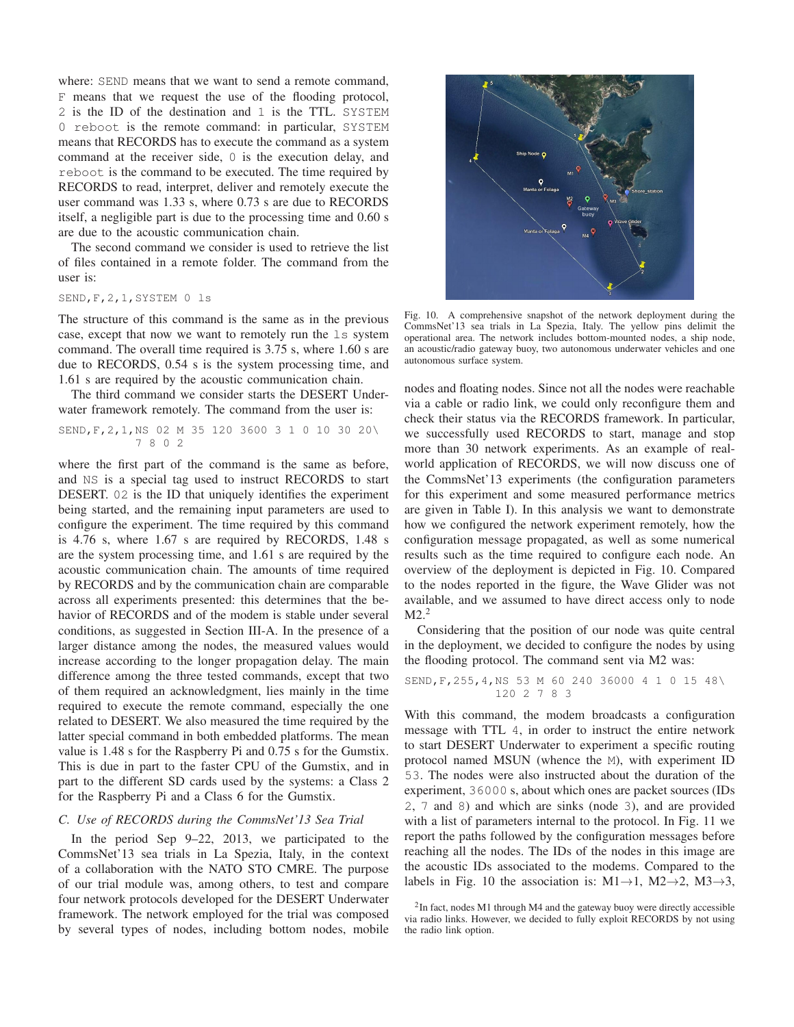where: SEND means that we want to send a remote command, F means that we request the use of the flooding protocol, 2 is the ID of the destination and 1 is the TTL. SYSTEM 0 reboot is the remote command: in particular, SYSTEM means that RECORDS has to execute the command as a system command at the receiver side, 0 is the execution delay, and reboot is the command to be executed. The time required by RECORDS to read, interpret, deliver and remotely execute the user command was 1.33 s, where 0.73 s are due to RECORDS itself, a negligible part is due to the processing time and 0.60 s are due to the acoustic communication chain.

The second command we consider is used to retrieve the list of files contained in a remote folder. The command from the user is:

## SEND,F,2,1,SYSTEM 0 ls

The structure of this command is the same as in the previous case, except that now we want to remotely run the ls system command. The overall time required is 3.75 s, where 1.60 s are due to RECORDS, 0.54 s is the system processing time, and 1.61 s are required by the acoustic communication chain.

The third command we consider starts the DESERT Underwater framework remotely. The command from the user is:

SEND,F,2,1,NS 02 M 35 120 3600 3 1 0 10 30 20\ 7 8 0 2

where the first part of the command is the same as before, and NS is a special tag used to instruct RECORDS to start DESERT. 02 is the ID that uniquely identifies the experiment being started, and the remaining input parameters are used to configure the experiment. The time required by this command is 4.76 s, where 1.67 s are required by RECORDS, 1.48 s are the system processing time, and 1.61 s are required by the acoustic communication chain. The amounts of time required by RECORDS and by the communication chain are comparable across all experiments presented: this determines that the behavior of RECORDS and of the modem is stable under several conditions, as suggested in Section III-A. In the presence of a larger distance among the nodes, the measured values would increase according to the longer propagation delay. The main difference among the three tested commands, except that two of them required an acknowledgment, lies mainly in the time required to execute the remote command, especially the one related to DESERT. We also measured the time required by the latter special command in both embedded platforms. The mean value is 1.48 s for the Raspberry Pi and 0.75 s for the Gumstix. This is due in part to the faster CPU of the Gumstix, and in part to the different SD cards used by the systems: a Class 2 for the Raspberry Pi and a Class 6 for the Gumstix.

## *C. Use of RECORDS during the CommsNet'13 Sea Trial*

In the period Sep 9–22, 2013, we participated to the CommsNet'13 sea trials in La Spezia, Italy, in the context of a collaboration with the NATO STO CMRE. The purpose of our trial module was, among others, to test and compare four network protocols developed for the DESERT Underwater framework. The network employed for the trial was composed by several types of nodes, including bottom nodes, mobile



Fig. 10. A comprehensive snapshot of the network deployment during the CommsNet'13 sea trials in La Spezia, Italy. The yellow pins delimit the operational area. The network includes bottom-mounted nodes, a ship node, an acoustic/radio gateway buoy, two autonomous underwater vehicles and one autonomous surface system.

nodes and floating nodes. Since not all the nodes were reachable via a cable or radio link, we could only reconfigure them and check their status via the RECORDS framework. In particular, we successfully used RECORDS to start, manage and stop more than 30 network experiments. As an example of realworld application of RECORDS, we will now discuss one of the CommsNet'13 experiments (the configuration parameters for this experiment and some measured performance metrics are given in Table I). In this analysis we want to demonstrate how we configured the network experiment remotely, how the configuration message propagated, as well as some numerical results such as the time required to configure each node. An overview of the deployment is depicted in Fig. 10. Compared to the nodes reported in the figure, the Wave Glider was not available, and we assumed to have direct access only to node  $M2.<sup>2</sup>$ 

Considering that the position of our node was quite central in the deployment, we decided to configure the nodes by using the flooding protocol. The command sent via M2 was:

$$
SEND, F, 255, 4, NS 53 M 60 240 36000 4 1 0 15 48 \setminus 120 2 7 8 3
$$

With this command, the modem broadcasts a configuration message with TTL 4, in order to instruct the entire network to start DESERT Underwater to experiment a specific routing protocol named MSUN (whence the M), with experiment ID 53. The nodes were also instructed about the duration of the experiment, 36000 s, about which ones are packet sources (IDs 2, 7 and 8) and which are sinks (node 3), and are provided with a list of parameters internal to the protocol. In Fig. 11 we report the paths followed by the configuration messages before reaching all the nodes. The IDs of the nodes in this image are the acoustic IDs associated to the modems. Compared to the labels in Fig. 10 the association is: M1 $\rightarrow$ 1, M2 $\rightarrow$ 2, M3 $\rightarrow$ 3,

<sup>&</sup>lt;sup>2</sup>In fact, nodes M1 through M4 and the gateway buoy were directly accessible via radio links. However, we decided to fully exploit RECORDS by not using the radio link option.